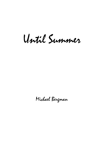Until Summer

Michael Bergman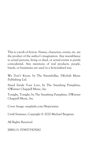This is a work of fiction. Names, characters, events, etc. are the product of the author's imagination. Any resemblance to actual persons, living or dead, or actual events is purely coincidental. Any mentions of real products, people, bands, or businesses are used in a fictionalized way.

We Don't Know, by The Strumbellas, ©Kobalt Music Publishing Ltd.

Stand Inside Your Love, by The Smashing Pumpkins, ©Warner Chappell Music, Inc

Tonight, Tonight, by The Smashing Pumpkins, ©Warner Chappell Music, Inc

Cover Image: unsplash.com/@epicantus

Until Summer, Copyright © 2020 Michael Bergman

All Rights Reserved

ISBN-13: 9798575505082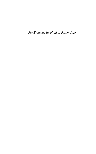For Everyone Involved in Foster Care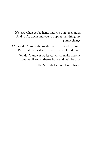It's hard when you're living and you don't feel much And you're down and you're hoping that things are gonna change

Oh, we don't know the roads that we're heading down But we all know if we're lost, then we'll find a way

We don't know if we leave, will we make it home But we all know, there's hope and we'll be okay

-The Strumbellas, We Don't Know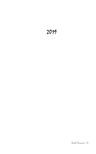# 2019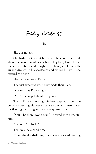# Friday, October 11

## Her

She was in love.

She hadn't yet said it but what else could she think about the man who sat beside her? They had plans. He had made reservations and bought her a bouquet of roses. He arrived dressed in his sportscoat and smiled big when she opened the door.

She had forgotten. Twice.

The first time was when they made their plans.

"Are you free Friday night?"

"Yes." She forgot about the game.

Then, Friday morning, Robert stepped from the bedroom wearing his jersey. He was number fifteen. It was his first night starting as the varsity quarterback.

"You'll be there, won't you?" he asked with a bashful grin.

"I wouldn't miss it."

That was the second time.

When the doorbell rang at six, she answered wearing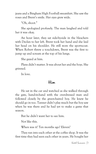jeans and a Bingham High Football sweatshirt. She saw the roses and Brent's smile. Her eyes grew wide.

"Oh, shoot."

She apologized profusely. The man laughed and told her it was okay.

An hour later, they sat side-by-side in the bleachers with Declan to her left. Brent took her hand and she laid her head on his shoulder. He still wore the sportscoat. When Robert threw a touchdown, Brent was the first to jump up and scream at the top of his lungs.

She gazed at him.

Plans didn't matter. It was about her and the boys. She grinned.

In love.

### Him

He sat in the car and watched as she walked through the gate, hand-in-hand with the overdressed man and followed closely by the green-haired boy. He knew he should go in too. Tanner didn't play much but the boy saw when he was there and he had yet to make a game that season.

But he didn't want her to see him.

Not like this.

When was it? Ten months ago? Eleven?

They ran into each other at the coffee shop. It was the first time they had seen each other in years. He bought her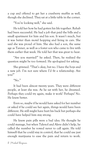a cup and offered to get her a cranberry muffin as well, though she declined. They sat at a little table in the corner.

"You're looking well," she said.

He told her how he had gotten his life together. Rehab had been successful. He had a job that paid the bills and a small apartment for him and his son. It wasn't much, but it was better than motel hopping and living in cars. She said she was proud of him. She also had a son, the same age as Tanner, as well as a foster son who came to live with them earlier that week. He told her that was great to hear.

"Are you married?" he asked. Then, he realized the question might be too forward. He apologized for asking.

She grinned. "That's okay, but no. I have the boys and a new job. I'm not sure where I'd fit a relationship. Are you?"

" $No$ "

It had been almost twenty years. They were different people, at least she was. As he sat with her, he dreamed. Perhaps they could try again, make it work? Perhaps? No. He knew better.

Even so, maybe if he would have asked for her number or asked if he could see her again, things would have been different. He still might have hurt his back but perhaps she could have helped him stay strong.

He knew pain pills were a bad idea. He thought he could manage, but when Tylenol and Aleve didn't help, he called the number he vowed never to call again. He told himself that he could stay in control, that he could use just enough marijuana to ease the pain and return to work.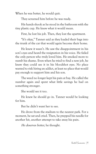When he was better, he would quit.

They screened him before he was ready.

His hands shook as he stood in the bathroom with the tiny plastic cup. He knew what it would mean.

First, he lost his job. Then, they lost the apartment.

"It's okay," Tanner said as they loaded their bags into the trunk of the car that would again become their home.

He knew it wasn't. He saw the disappointment in his son's eyes and heard the resignation in his voice. He failed the only person who truly loved him. He smoked more to numb his shame. Even when he tried to find a new job, he knew they could see it in his bloodshot eyes. No place wanted to risk hiring an addict, at least no place that would pay enough to support him and his son.

The weed no longer kept his pain at bay. He called the number again and spent what little savings he had on something stronger.

She would see it too.

He knew he should go in. Tanner would be looking for him.

But he didn't want her to see.

He drove from the stadium to the nearest park. For a moment, he sat and cried. Then, he prepped his needle for another hit, another attempt to take away his pain.

He *deserves better*, he thought.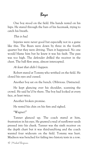## Boys

One boy stood on the field. His hands rested on his hips. He stared through the bars of his facemask, trying to catch his breath.

#### This is bad.

Injuries were never good but especially not in a game like this. The Bears were down by three in the fourth quarter but they were driving. Then it happened. No one would blame him but he knew it was his fault. The pass was too high. The defender drilled the receiver in the chest. The ball flew away, almost intercepted.

#### At least that didn't happen.

Robert stared at Tommy who writhed on the field. He closed his eyes and cussed.

Another boy sat on the bench. Oblivious. Distracted.

He kept glancing over his shoulder, scanning the crowd. He said he'd be there. The boy had looked at every face, at least twice.

Another broken promise.

He rested his chin on his fists and sighed.

"Wagner!"

Tanner glanced up. The coach stared at him, frustration in his eyes. He gnawed a wad of sunflower seeds pressed into his cheek. Tanner was the sixth receiver on the depth chart but it was third-and-long and the coach wanted four wideouts on the field. Tommy was hurt. Madison was benched for failing two history tests in a row.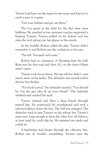Tanner had been on the team for two years and had yet to catch a pass in a game.

"Get your helmet and get out there."

The boy gazed at the field for the first time since halftime. He watched as two assistant coaches supported a limping Tommy. Tanner pulled on his helmet and ran onto the turf, giving one last glance at the stands.

In the huddle, Robert called the play. Tanner didn't remember it and Robert saw the confusion in his eyes.

"Far left. Ten-yard curl route."

Robert had no intention of throwing him the ball. Ryan was his first read and then A.J. on the slant if Ryan wasn't open.

Tanner took his position. He was tall but didn't carry much meat on his limbs. The defender was several inches shorter but thicker.

"You look scared," the defender taunted. "You should be. I'm the guy who lit up your friend." The defender smirked and cracked his neck.

Tanner inhaled and blew a deep breath through pursed lips. He positioned his mouthguard and took a side-eyed glance down the line. The ball was snapped. The defender tried to jam Tanner on his release but Tanner's arms were long enough to keep the other boy off balance, at least until he could slip by. He sprinted ten yards and curled in.

A linebacker had blown through the offensive line. Robert was in trouble, scrambling. Tanner eyed the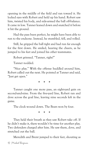opening in the middle of the field and ran toward it. He locked eyes with Robert and held up his hand. Robert saw him, twisted his body, and side-armed the ball off-balance. It came in low. Tanner leaned down and snatched it before it hit the ground.

Had the pass been perfect, he might have been able to run to the endzone. Instead, he stumbled, fell, and rolled.

Still, he gripped the ball tight and had run far enough for the first down. He smiled, hearing the cheers, as he jumped to his feet and joined his other teammates.

Robert grinned. "Tanner, right?"

Tanner nodded.

"Nice play." With the offense huddled around him, Robert called out the next. He pointed at Tanner and said, "Just get open."

\* \* \*

Tanner caught one more pass, an eight-yard gain on second-and-nine. From the five-yard line, Robert ran and dove across the goal line, leaving nine seconds left in the game.

The clock wound down. The Bears won by four.

\* \* \*

They held their breath as they saw Robert take off. If he didn't make it, there wouldn't be time for another play. Two defenders charged after him. He saw them, dove, and stretched out the ball.

Meredith and Brent jumped to their feet, shouting as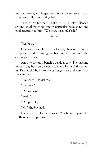loud as anyone, and hugged each other. Even Declan, who hated football, stood and yelled.

"That's my brother! That's right!" Declan glanced around speaking to no one in particular because no one paid attention to him. "We share a room! Yeah."

\* \* \*

Two boys.

One sat at a table at Pizza House, chewing a bite of pepperoni and grinning as his family recounted the evening's heroics.

Another sat on a bench outside a gate. The parking lot had long been empty when the tan Monte Carlo pulled in. Tanner climbed into the passenger seat and stared out the window.

"I'm sorry," Daniel said.

"It's okay."

"Did we win?"

"Yeah."

"Did you play?"

"No," the boy lied.

Daniel patted Tanner's knee. "Maybe next game. I'll be there for it. I promise."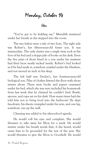# Monday, October 14

Her

"You've got to be kidding me," Meredith muttered under her breath as she stepped into the room.

The two halves were a tale of two boys. The right side was Robert's, her fifteen-year-old foster son. It was immaculate. The only clutter was a single stray sock at the foot of his bed and a sloppy pile of books on his desk. Even the five pairs of shoes lined in a row under his mattress had their laces neatly tucked inside. Robert's bed looked as if he had made it, somehow crawled under the blankets, and not moved an inch in his sleep.

The left half was Declan's, her fourteen-year-old biological son. Piles of clothes littered the floor with shoes strewn about. There were books and papers crammed under his bed, which she was sure included his homework from last week that he claimed he couldn't find. Bowls, spoons, and cups sat on his desk. How many times had she told him not to bring food into the bedroom? He slept facedown, his sheets crumpled under his arm, and one leg, somehow, ran up the wall.

Cleaning was added to his after-school agenda.

He would roll his eyes and complain. She would threaten to take away his Xbox for a week. He would mutter under his breath words that, if she heard, would cause him to be grounded for the rest of the year. She would threaten to give the Xbox to Goodwill. He would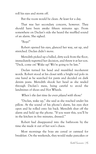roll his eyes and storm off.

But the room would be clean. At least for a day.

That was her secondary concern, however. They should have been awake fifteen minutes ago. From somewhere on Declan's side she heard the muffled sound of an alarm. She sighed.

"Boys!"

Robert opened his eyes, glanced her way, sat up, and stretched. Declan didn't move.

Meredith picked up a balled, dirty sock from the floor, immediately regretted her decision, and threw it at her son. "Deck, come on! Wake up! We're going to be late."

Declan turned his head and mumbled incoherent words. Robert stood at his closet with a bright red polo in one hand as he searched for pants and decided on dark denim jeans. Meredith shook her head as she waded through Declan's mess, being careful to avoid the landmines of shoes and Hot Wheels.

#### When's the last time he even played with those?

"Declan, wake up," she said as she reached under his pillow. At the sound of his phone's alarm, his eyes shot open and he rolled onto his back. Meredith shut off the alarm and held up the phone. "If you want this, you'll be in the kitchen in five minutes, dressed."

Robert had disappeared into the bathroom by the time she made it out of her son's chaos.

Most mornings the boys ate cereal or oatmeal for breakfast. On the weekends, they would make pancakes or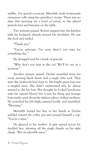waffles. On special occasions, Meredith made homemade cinnamon rolls using her grandma's recipe. There was no time that morning for a bowl of cereal, so she placed granola bars and bananas on the table.

Two minutes passed. Robert stepped into the kitchen with his backpack already around his shoulders. He saw the food and smiled.

"Thank you."

"You're welcome. I'm sorry there's not time for something else."

He shrugged and bit a hunk of granola.

"Why don't you wait in the car? We'll be out in a moment."

Another minute passed. Declan stumbled from his room wearing black shorts and a single tube sock. They were the clothes he had slept in. His bright green hair was a tangled mess. She didn't understand why he always wanted to dye his hair. She thought he looked handsome with his natural blond, but it was his thing and teenage boys rarely cared about the fashion advice of their mothers. He scratched his left thigh, yawned loudly, and mumbled, "Morning."

Meredith buried her face in her hands as Declan ambled toward the coffee pot and poured himself a cup. "You're a mess."

He glanced at his mother. A grin spread across his freckled face, showing off the single dimple on his right cheek. "But an adorable mess."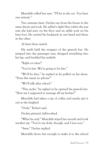Meredith rolled her eyes. "I'll be in the car. You have one minute."

Two minutes later, Declan ran from the house in the same shorts and sock. He added a light blue t-shirt she was sure she had seen on the floor and an ankle sock on his bare foot. He carried his backpack in one hand and shoes in the other.

#### At least those match.

His teeth held the wrapper of the granola bar. He jumped into the passenger seat, dropped everything into his lap, and buckled his seatbelt.

"Right on time!"

"You're late. We're going to be late."

"We'll be fine," he replied as he pulled on his shoes. "Does this mean no phone?"

"We'll talk after school."

"This sucks," he sighed as he opened his granola bar. "How am I supposed to message all my hotties?"

Meredith had taken a sip of coffee and nearly spit it out as she laughed.

"Dork," Robert said.

Declan grinned, full-toothed.

"What he said." Meredith wiped her mouth and took another sip. "You're my dork, though, and I love you."

"Aww," Declan replied.

Meredith drove fast enough to make it to the school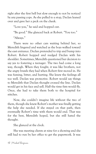right after the first bell but slow enough to not be noticed by any passing cops. As she pulled to a stop, Declan leaned over and gave her a peck on the cheek.

"Love you," he said and hopped out.

"Be good." She glanced back at Robert. "You too."

"Always."

There were no other cars waiting behind her, so Meredith lingered and watched as the boys walked toward the east entrance. Declan pretended to trip and bump into Robert. Robert hopped and nudged Declan with his shoulder. Sometimes, Meredith questioned her decision to say yes to fostering a teenager. The two had come a long way, though. When they fought, it was like brothers, not the angry brawls they had when Robert first moved in. He was fuming, bitter, and hurting. She knew the feelings all too well. Declan was protective. Robert would say things to Meredith that Declan thought crossed the line. Declan would get in his face and yell. Half the time fists would fly. Once, she had to take them both to the hospital for stitches.

Now, she couldn't imagine life without the two of them, though she knew Robert's mother was finally getting the help she needed. If she stayed on that path, then eventually Robert's time with them would end. That was for the best, Meredith hoped, but she still hated the thought.

She glanced at the clock.

She was meeting clients at nine for a showing and she still had to run by her office to get the paperwork. It was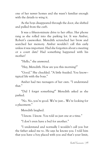one of her newer homes and she wasn't familiar enough with the details to wing it.

As the boys disappeared through the door, she shifted and pulled from the curb.

It was a fifteen-minute drive to her office. Her phone rang as she rolled into the parking lot. It was Amber, Robert's caseworker. Meredith scrunched her brow and searched her memory. Amber wouldn't call this early unless it was important. Had she forgotten about a meeting or a court date? Had something happened with his mother?

"Hello," she answered.

"Hey, Meredith. How are you this morning?"

"Good." She chuckled. "A little frazzled. You know typical life with the boys."

Amber had two teenagers of her own. "I understand that."

"Did I forget something?" Meredith asked as she parked.

"No. No, you're good. We're just… We're looking for a placement."

Meredith laughed.

"I know. I know. You told us just one at a time."

"I don't even have a bed for another."

"I understand and normally I wouldn't call you but the father asked me to. He says he knows you. I told him that you have a boy placed with you and that's your limit,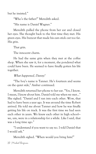but he insisted."

"Who's the father?" Meredith asked.

"His name is Daniel Wagner."

Meredith pulled the phone from her ear and closed her eyes. She thought back to the first time they met. His green eyes. His buzzcut that made his ears stick out too far. His grin.

That grin.

The innocent charm.

He had the same grin when they met at the coffee shop. When she saw it, for a moment, she pondered what could have been. He seemed to have finally gotten his life together.

#### What happened, Danny?

"The boy's name is Tanner. He's fourteen and seems on the quiet side," Amber continued.

Meredith returned her phone to her ear. "Yes, I know. I mean, I know about him. Daniel told me when we met…" She sighed. "Daniel and I ran into each other. Wow, that had to have been a year ago. It was around the time Robert arrived. He told me about Tanner and how he was finally getting his life on track. It was the first time we had seen each other in years. We knew each other in high school we, um, were in a relationship for a while. Like I said, that was a long time ago."

"I understand if you want to say no. I told Daniel that I would ask."

Meredith sighed. "When would you bring him?"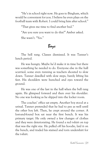"He's in school right now. He goes to Bingham, which would be convenient for you. I believe he even plays on the football team with Robert. I could bring him after school."

"That gives me time to find another bed."

"Are you sure you want to do this?" Amber asked.

She wasn't. "Yes."

## Boys

The bell rang. Classes dismissed. It was Tanner's lunch period.

He was hungry. Maybe he'd make it in time but there was something he needed to do. Everyone else in the hall scurried, some even running as teachers shouted to slow down. Tanner dawdled with slow steps, barely lifting his feet. His shoulders were hunched and eyes toward the ground.

He was one of the last in the hall when the bell rang again. He glimpsed forward and then over his shoulder. No one was looking as he slipped into the locker room.

The coaches' office sat empty. Another boy stood at a urinal. Tanner pretended that he had to pee as well until the other boy left. Then, he crept around the corner. A lost-and-found box sat near the first bench. It was his primary target. He only owned a few changes of clothes and they were deteriorating. He found a red t-shirt on top that was the right size. He pulled off his hoodie, laid it on the bench, and traded his stained and torn undershirt for the t-shirt.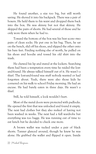He found another, a size too big, but still worth saving. He shoved it into his backpack. There was a pair of boxers. He held them to his waist and dropped them back into the box. He was skinny but not that skinny. He skipped the pairs of shorts. He had several of those and he only wore them when he had to.

Toward the bottom of the box was his best score—two pairs of clean socks. He put one in his bag. Then, he sat on the bench, slid off his shoes, and slipped the other onto his bare feet. Finding nothing else of worth, he pulled on his shoes and hoodie and tossed his old shirt into the trash.

He chewed his lip and stared at the lockers. Searching them had been a temptation every time he raided the lostand-found. He always talked himself out of it. He wasn't a thief. The lost-and-found was stuff nobody wanted or had forgotten about. Yeah, there were also those kids he cornered on his walk to school Friday morning. He had an excuse. He had barely eaten in three days. He wasn't a thief.

Still, he told himself, a look wouldn't hurt.

Most of the metal doors were protected with padlocks. He opened the first that was unlocked and found it empty. The next had clothes but they also reeked of having not been washed in weeks. The next had a full wardrobe but everything was too baggy. He was running out of time to eat lunch but he decided to check one more.

A brown wallet was tucked under a pair of black shorts. Tanner glanced around, though he knew he was alone. He grabbed the wallet and flipped it open. Inside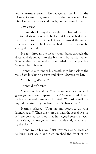was a learner's permit. He recognized the kid in the picture, Owen. They were both in the same math class. Like Tanner, he never said much, but he seemed nice.

#### Put it back.

Tanner shook away the thought and checked for cash. He found six one-dollar bills. He quickly snatched them, slid them into his back pocket, and returned the wallet. His heart raced. He knew he had to leave before he changed his mind.

He ran through the locker room, burst through the door, and slammed into the back of a bulky kid named Sam Perkins. Tanner said sorry and tried to slither past but Sam grabbed his arm.

Tanner cussed under his breath with his back to the wall, Sam blocking his right and Harris Stevens his left.

"In a hurry, Wagner?"

Tanner didn't reply.

"I saw you play Friday. You made some nice catches. I guess you're Mister Superstar now?" Sam smirked. Then, he leaned toward Tanner and sniffed. "You still smell like my old jockstrap. I guess fame doesn't change that."

Harris snickered. "Your mommy forget to do your laundry again?" Then the short boy with the scar above his left eye covered his mouth as he feigned surprise. "Oh, that's right, it's just you and your daddy and, what, a van by the river?"

Tanner rolled his eyes. "Just leave me alone." He tried to brush past again and Sam grabbed the front of his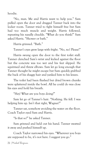hoodie.

"No, man. Me and Harris want to help you." Sam pulled open the door and dragged Tanner back into the locker room. Tanner tried to fight himself free but Sam had too much muscle and weight. Harris followed, repeating his nasally chuckle. "What do you think?" Sam asked Harris. "Shower or bath."

Harris grinned. "Bath."

Tanner's eyes grew large with fright. "No, no! Please!"

Harris swung open the door to the first toilet stall. Tanner clenched Sam's wrist and kicked against the floor but the concrete was too wet and his feet slipped. He squirmed and threw elbows. Sam let go long enough that Tanner thought he might escape but Sam quickly grabbed the back of his shaggy hair and yanked him to his knees.

The toilet had been flushed but dried brown chunks were splattered inside the bowl. All he could do was close his eyes and hold his breath.

"Hey! What are you boys doing?"

Sam let go of Tanner's hair. "Nothing. He fell. I was helping him up. Isn't that right, Wagner?"

Tanner sat, somehow avoiding the water on the floor. Coach Taylor eyed Sam and Harris.

"Is that so?" he asked Tanner.

Sam grinned and held out his hand. Tanner swatted it away and pushed himself up.

Coach Taylor narrowed his eyes. "Wherever you boys are supposed to be, it's not here. I suggest you go."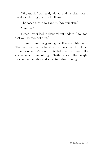"Sir, yes, sir," Sam said, saluted, and marched toward the door. Harris giggled and followed.

The coach turned to Tanner. "Are you okay?" "I'm fine."

Coach Taylor looked skeptical but nodded. "You too. Get your butt out of here."

Tanner paused long enough to first wash his hands. The bell rang before he shut off the water. His lunch period was over. At least in his dad's car there was still a cheeseburger from last night. With the six dollars, maybe he could get another and some fries that evening.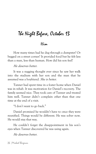# The Night Before, October 13

# Him

How many times had he dug through a dumpster? Or begged on a street corner? It provided food but he felt less than a man, less than human. How did his son feel?

#### He deserves better.

It was a nagging thought ever since he saw her walk into the stadium with her son and the man that he assumed was a boyfriend. She is better.

Tanner had spent time in a foster home when Daniel was in rehab. It was motivation for Daniel's recovery. The family seemed nice. They took care of Tanner and treated him well. Tanner didn't complain other than that one time at the end of a visit.

"I don't want to go back."

Daniel promised he wouldn't have to once they were reunified. Things would be different. He was sober now. He would stay that way.

He couldn't forget the disappointment in his son's eyes when Tanner discovered he was using again.

He deserves better.

26 |Michael Bergman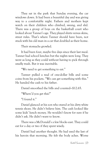They sat in the park that Sunday evening, the car windows down. It had been a beautiful day and was giving way to a comfortable night. Fathers and mothers kept watch on their children who climbed, swung, and slid. There was a group of boys on the basketball court who looked about Tanner's age. They played shirts versus skins, street rules. That's where Tanner should have been, not stuck with his old man in a car that doubled as their home.

Their stomachs growled.

It had been four, maybe five days since their last meal. Tanner had school lunches but the nights were long. They went as long as they could without having to pick through smelly trash. But it was inevitable.

"We need to get something to eat."

Tanner pulled a wad of one-dollar bills and some coins from his pockets. "We can get something with this." He handed the cash to his father.

Daniel smoothed the bills and counted—\$12.65.

"Where'd you get this?"

"I found it."

Daniel glanced at his son who stared at his dirty white tennis shoes. He didn't believe him. The cash looked like some kids' lunch money. He wouldn't know for sure if he didn't ask. He didn't want to know.

There was a McDonald's a few blocks east. They could eat for a day or two if they spent wisely.

Daniel had another thought. He had used the last of his heroin that morning. He felt the body aches. Worse